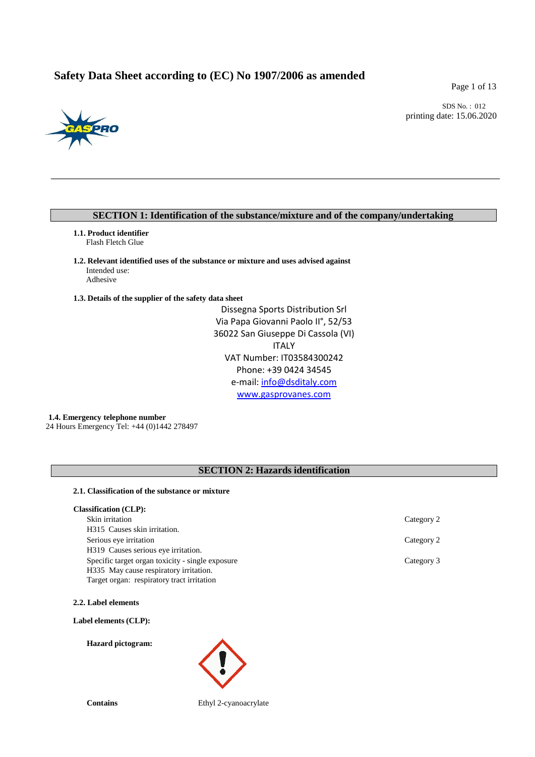# **Safety Data Sheet according to (EC) No 1907/2006 as amended**

Page 1 of 13



SDS No. : 012 printing date: 15.06.2020

# **SECTION 1: Identification of the substance/mixture and of the company/undertaking**

**1.1. Product identifier** Flash Fletch Glue

**1.2. Relevant identified uses of the substance or mixture and uses advised against** Intended use: Adhesive

**1.3. Details of the supplier of the safety data sheet**

Dissegna Sports Distribution Srl Via Papa Giovanni Paolo II°, 52/53 36022 San Giuseppe Di Cassola (VI) ITALY VAT Number: IT03584300242 Phone: +39 0424 34545 e-mail: [info@dsditaly.com](mailto:info@dsditaly.com) [www.gasprovanes.com](http://www.gasprovanes.com/)

**1.4. Emergency telephone number**  24 Hours Emergency Tel: +44 (0)1442 278497

# **SECTION 2: Hazards identification**

## **2.1. Classification of the substance or mixture**

| <b>Classification (CLP):</b> |  |
|------------------------------|--|
|------------------------------|--|

| Skin irritation                                  | Category 2 |
|--------------------------------------------------|------------|
| H315 Causes skin irritation.                     |            |
| Serious eye irritation                           | Category 2 |
| H319 Causes serious eye irritation.              |            |
| Specific target organ toxicity - single exposure | Category 3 |
| H335 May cause respiratory irritation.           |            |
| Target organ: respiratory tract irritation       |            |

**2.2. Label elements**

## **Label elements (CLP):**

**Hazard pictogram:**



**Contains** Ethyl 2-cyanoacrylate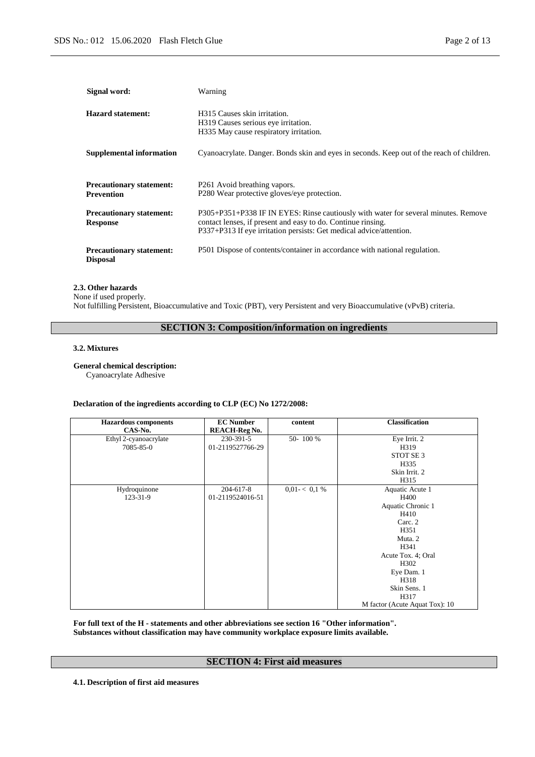| Signal word:                                         | Warning                                                                                                                                                                                                                   |
|------------------------------------------------------|---------------------------------------------------------------------------------------------------------------------------------------------------------------------------------------------------------------------------|
| <b>Hazard statement:</b>                             | H315 Causes skin irritation.<br>H319 Causes serious eye irritation.<br>H335 May cause respiratory irritation.                                                                                                             |
| <b>Supplemental information</b>                      | Cyanoacrylate. Danger. Bonds skin and eyes in seconds. Keep out of the reach of children.                                                                                                                                 |
| <b>Precautionary statement:</b><br><b>Prevention</b> | P <sub>261</sub> Avoid breathing vapors.<br>P280 Wear protective gloves/eye protection.                                                                                                                                   |
| <b>Precautionary statement:</b><br><b>Response</b>   | P305+P351+P338 IF IN EYES: Rinse cautiously with water for several minutes. Remove<br>contact lenses, if present and easy to do. Continue rinsing.<br>P337+P313 If eye irritation persists: Get medical advice/attention. |
| <b>Precautionary statement:</b><br><b>Disposal</b>   | P501 Dispose of contents/container in accordance with national regulation.                                                                                                                                                |

## **2.3. Other hazards**

None if used properly. Not fulfilling Persistent, Bioaccumulative and Toxic (PBT), very Persistent and very Bioaccumulative (vPvB) criteria.

# **SECTION 3: Composition/information on ingredients**

#### **3.2. Mixtures**

## **General chemical description:**

Cyanoacrylate Adhesive

## **Declaration of the ingredients according to CLP (EC) No 1272/2008:**

| <b>Hazardous</b> components<br>CAS-No. | <b>EC Number</b><br><b>REACH-Reg No.</b> | content      | <b>Classification</b>                                                                                                                                                                                    |
|----------------------------------------|------------------------------------------|--------------|----------------------------------------------------------------------------------------------------------------------------------------------------------------------------------------------------------|
| Ethyl 2-cyanoacrylate<br>7085-85-0     | 230-391-5<br>01-2119527766-29            | 50-100%      | Eye Irrit. 2<br>H319<br>STOT SE 3<br>H335<br>Skin Irrit. 2<br>H315                                                                                                                                       |
| Hydroquinone<br>123-31-9               | 204-617-8<br>01-2119524016-51            | 0.01 < 0.1 % | Aquatic Acute 1<br>H400<br>Aquatic Chronic 1<br>H410<br>Carc. 2<br>H351<br>Muta. 2<br>H341<br>Acute Tox. 4; Oral<br>H302<br>Eye Dam. 1<br>H318<br>Skin Sens. 1<br>H317<br>M factor (Acute Aquat Tox): 10 |

**For full text of the H - statements and other abbreviations see section 16 "Other information". Substances without classification may have community workplace exposure limits available.**

## **SECTION 4: First aid measures**

**4.1. Description of first aid measures**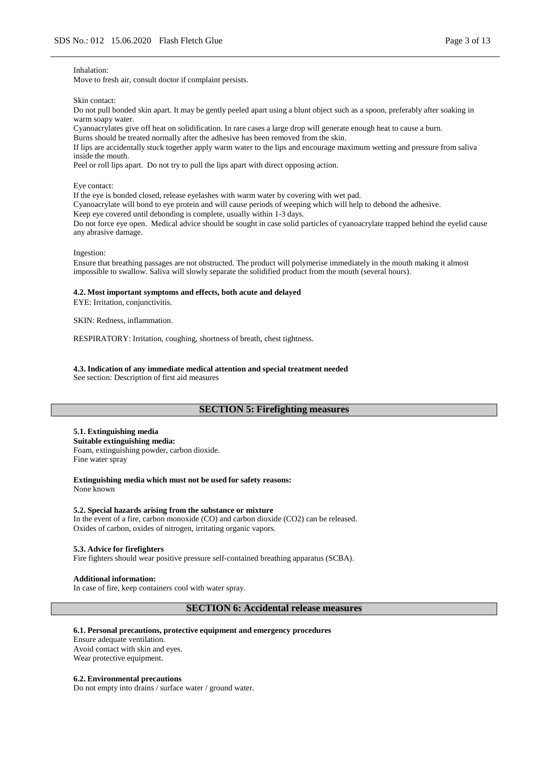#### Inhalation:

Move to fresh air, consult doctor if complaint persists.

Skin contact:

Do not pull bonded skin apart. It may be gently peeled apart using a blunt object such as a spoon, preferably after soaking in warm soapy water.

Cyanoacrylates give off heat on solidification. In rare cases a large drop will generate enough heat to cause a burn. Burns should be treated normally after the adhesive has been removed from the skin.

If lips are accidentally stuck together apply warm water to the lips and encourage maximum wetting and pressure from saliva inside the mouth.

Peel or roll lips apart. Do not try to pull the lips apart with direct opposing action.

Eye contact:

If the eye is bonded closed, release eyelashes with warm water by covering with wet pad.

Cyanoacrylate will bond to eye protein and will cause periods of weeping which will help to debond the adhesive.

Keep eye covered until debonding is complete, usually within 1-3 days.

Do not force eye open. Medical advice should be sought in case solid particles of cyanoacrylate trapped behind the eyelid cause any abrasive damage.

#### Ingestion:

Ensure that breathing passages are not obstructed. The product will polymerise immediately in the mouth making it almost impossible to swallow. Saliva will slowly separate the solidified product from the mouth (several hours).

#### **4.2. Most important symptoms and effects, both acute and delayed**

EYE: Irritation, conjunctivitis.

SKIN: Redness, inflammation.

RESPIRATORY: Irritation, coughing, shortness of breath, chest tightness.

# **4.3. Indication of any immediate medical attention and special treatment needed**

See section: Description of first aid measures

## **SECTION 5: Firefighting measures**

## **5.1. Extinguishing media**

**Suitable extinguishing media:** Foam, extinguishing powder, carbon dioxide. Fine water spray

**Extinguishing media which must not be used for safety reasons:** None known

#### **5.2. Special hazards arising from the substance or mixture**

In the event of a fire, carbon monoxide (CO) and carbon dioxide (CO2) can be released. Oxides of carbon, oxides of nitrogen, irritating organic vapors.

### **5.3. Advice for firefighters**

Fire fighters should wear positive pressure self-contained breathing apparatus (SCBA).

#### **Additional information:**

In case of fire, keep containers cool with water spray.

## **SECTION 6: Accidental release measures**

#### **6.1. Personal precautions, protective equipment and emergency procedures**

Ensure adequate ventilation. Avoid contact with skin and eyes. Wear protective equipment.

#### **6.2. Environmental precautions**

Do not empty into drains / surface water / ground water.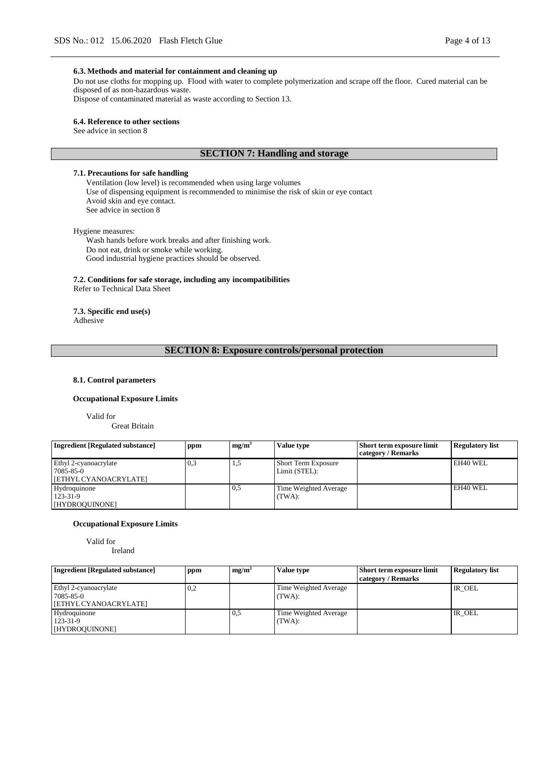## **6.3. Methods and material for containment and cleaning up**

Do not use cloths for mopping up. Flood with water to complete polymerization and scrape off the floor. Cured material can be disposed of as non-hazardous waste.

Dispose of contaminated material as waste according to Section 13.

### **6.4. Reference to other sections**

See advice in section 8

## **SECTION 7: Handling and storage**

**7.1. Precautions for safe handling**

Ventilation (low level) is recommended when using large volumes Use of dispensing equipment is recommended to minimise the risk of skin or eye contact Avoid skin and eye contact. See advice in section 8

Hygiene measures:

Wash hands before work breaks and after finishing work. Do not eat, drink or smoke while working. Good industrial hygiene practices should be observed.

**7.2. Conditions for safe storage, including any incompatibilities** Refer to Technical Data Sheet

**7.3. Specific end use(s)** Adhesive

## **SECTION 8: Exposure controls/personal protection**

## **8.1. Control parameters**

### **Occupational Exposure Limits**

Valid for

Great Britain

| Ingredient [Regulated substance]                            | ppm | mg/m <sup>3</sup> | Value type                                  | <b>Short term exposure limit</b><br>category / Remarks | <b>Regulatory list</b> |
|-------------------------------------------------------------|-----|-------------------|---------------------------------------------|--------------------------------------------------------|------------------------|
| Ethyl 2-cyanoacrylate<br>7085-85-0<br>[ETHYL CYANOACRYLATE] | 0,3 | 1.J               | <b>Short Term Exposure</b><br>Limit (STEL): |                                                        | EH40 WEL               |
| Hydroquinone<br>$123 - 31 - 9$<br>[HYDROQUINONE]            |     | 0.5               | Time Weighted Average<br>(TWA):             |                                                        | EH40 WEL               |

### **Occupational Exposure Limits**

Valid for

Ireland

| Ingredient [Regulated substance]                            | ppm | mg/m <sup>3</sup> | Value type                         | <b>Short term exposure limit</b><br>category / Remarks | <b>Regulatory list</b> |
|-------------------------------------------------------------|-----|-------------------|------------------------------------|--------------------------------------------------------|------------------------|
| Ethyl 2-cyanoacrylate<br>7085-85-0<br>[ETHYL CYANOACRYLATE] | 0,2 |                   | Time Weighted Average<br>$(TWA)$ : |                                                        | IR OEL                 |
| Hydroquinone<br>123-31-9<br><b>I [HYDROQUINONE]</b>         |     | 0.5               | Time Weighted Average<br>(TWA):    |                                                        | IR OEL                 |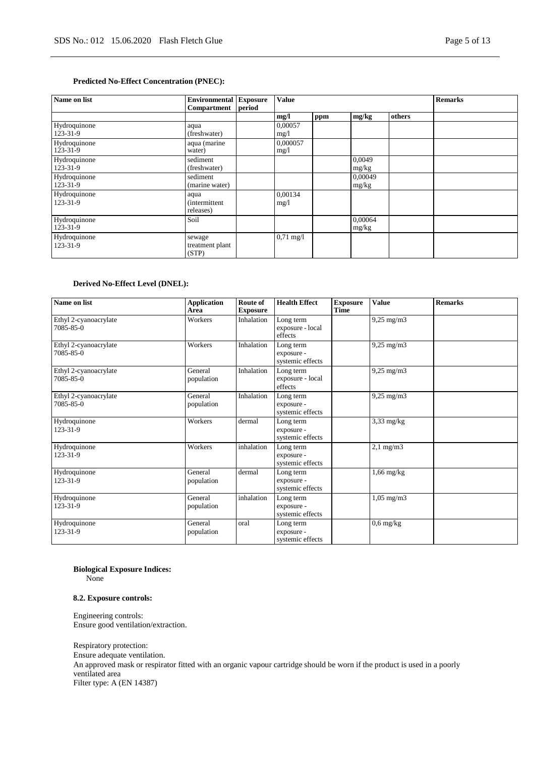## **Predicted No-Effect Concentration (PNEC):**

| Name on list                   | <b>Environmental</b> Exposure<br><b>Compartment</b> | period | <b>Value</b>        |     |                  |        | <b>Remarks</b> |
|--------------------------------|-----------------------------------------------------|--------|---------------------|-----|------------------|--------|----------------|
|                                |                                                     |        | mg/l                | ppm | mg/kg            | others |                |
| Hydroquinone<br>123-31-9       | aqua<br>(freshwater)                                |        | 0.00057<br>mg/1     |     |                  |        |                |
| Hydroquinone<br>123-31-9       | aqua (marine<br>water)                              |        | 0,000057<br>mg/1    |     |                  |        |                |
| Hydroquinone<br>123-31-9       | sediment<br>(freshwater)                            |        |                     |     | 0,0049<br>mg/kg  |        |                |
| Hydroquinone<br>123-31-9       | sediment<br>(marine water)                          |        |                     |     | 0.00049<br>mg/kg |        |                |
| Hydroquinone<br>123-31-9       | aqua<br><i>(intermittent)</i><br>releases)          |        | 0,00134<br>mg/1     |     |                  |        |                |
| Hydroquinone<br>$123 - 31 - 9$ | Soi1                                                |        |                     |     | 0,00064<br>mg/kg |        |                |
| Hydroquinone<br>123-31-9       | sewage<br>treatment plant<br>(STP)                  |        | $0,71 \text{ mg}/1$ |     |                  |        |                |

## **Derived No-Effect Level (DNEL):**

| Name on list                       | <b>Application</b><br>Area | Route of<br><b>Exposure</b> | <b>Health Effect</b>                        | <b>Exposure</b><br><b>Time</b> | <b>Value</b>          | <b>Remarks</b> |
|------------------------------------|----------------------------|-----------------------------|---------------------------------------------|--------------------------------|-----------------------|----------------|
| Ethyl 2-cyanoacrylate<br>7085-85-0 | Workers                    | Inhalation                  | Long term<br>exposure - local<br>effects    |                                | $9,25 \text{ mg/m}$   |                |
| Ethyl 2-cyanoacrylate<br>7085-85-0 | Workers                    | Inhalation                  | Long term<br>exposure -<br>systemic effects |                                | $9,25$ mg/m $3$       |                |
| Ethyl 2-cyanoacrylate<br>7085-85-0 | General<br>population      | Inhalation                  | Long term<br>exposure - local<br>effects    |                                | $9,25 \text{ mg/m}$   |                |
| Ethyl 2-cyanoacrylate<br>7085-85-0 | General<br>population      | Inhalation                  | Long term<br>exposure -<br>systemic effects |                                | $9,25$ mg/m $3$       |                |
| Hydroquinone<br>123-31-9           | Workers                    | dermal                      | Long term<br>exposure -<br>systemic effects |                                | $3,33$ mg/kg          |                |
| Hydroquinone<br>123-31-9           | Workers                    | inhalation                  | Long term<br>exposure -<br>systemic effects |                                | $2,1$ mg/m $3$        |                |
| Hydroquinone<br>123-31-9           | General<br>population      | dermal                      | Long term<br>exposure -<br>systemic effects |                                | $1,66$ mg/kg          |                |
| Hydroquinone<br>123-31-9           | General<br>population      | inhalation                  | Long term<br>exposure -<br>systemic effects |                                | $1,05 \text{ mg/m}$ 3 |                |
| Hydroquinone<br>123-31-9           | General<br>population      | oral                        | Long term<br>exposure -<br>systemic effects |                                | $0,6$ mg/kg           |                |

#### **Biological Exposure Indices:** None

Engineering controls:

**8.2. Exposure controls:**

Ensure good ventilation/extraction.

Respiratory protection: Ensure adequate ventilation. An approved mask or respirator fitted with an organic vapour cartridge should be worn if the product is used in a poorly ventilated area Filter type: A (EN 14387)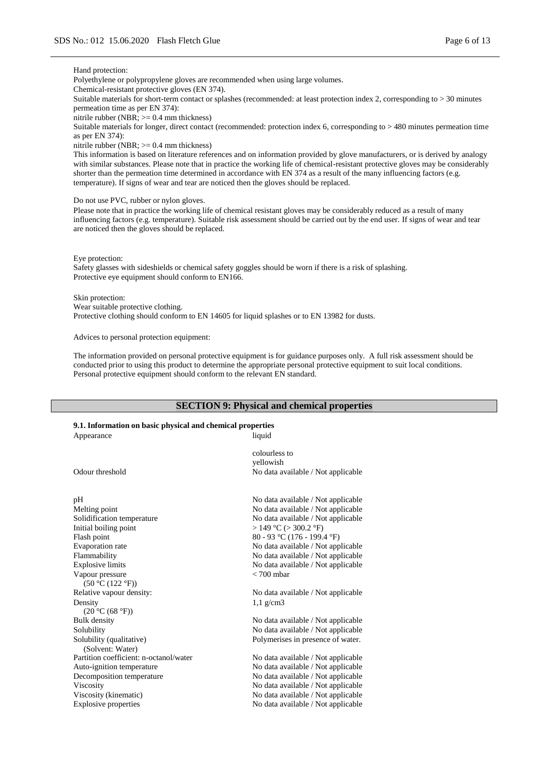#### Hand protection:

Polyethylene or polypropylene gloves are recommended when using large volumes.

Chemical-resistant protective gloves (EN 374).

Suitable materials for short-term contact or splashes (recommended: at least protection index 2, corresponding to > 30 minutes permeation time as per EN 374):

nitrile rubber (NBR; >= 0.4 mm thickness)

Suitable materials for longer, direct contact (recommended: protection index 6, corresponding to > 480 minutes permeation time as per EN 374):

nitrile rubber (NBR;  $>= 0.4$  mm thickness)

This information is based on literature references and on information provided by glove manufacturers, or is derived by analogy with similar substances. Please note that in practice the working life of chemical-resistant protective gloves may be considerably shorter than the permeation time determined in accordance with EN 374 as a result of the many influencing factors (e.g. temperature). If signs of wear and tear are noticed then the gloves should be replaced.

Do not use PVC, rubber or nylon gloves.

Please note that in practice the working life of chemical resistant gloves may be considerably reduced as a result of many influencing factors (e.g. temperature). Suitable risk assessment should be carried out by the end user. If signs of wear and tear are noticed then the gloves should be replaced.

Eye protection:

Safety glasses with sideshields or chemical safety goggles should be worn if there is a risk of splashing. Protective eye equipment should conform to EN166.

Skin protection:

Wear suitable protective clothing.

Protective clothing should conform to EN 14605 for liquid splashes or to EN 13982 for dusts.

Advices to personal protection equipment:

The information provided on personal protective equipment is for guidance purposes only. A full risk assessment should be conducted prior to using this product to determine the appropriate personal protective equipment to suit local conditions. Personal protective equipment should conform to the relevant EN standard.

## **SECTION 9: Physical and chemical properties**

#### **9.1. Information on basic physical and chemical properties** Appearance liquid

Solubility (qualitative) (Solvent: Water)

colourless to yellowish Odour threshold No data available / Not applicable pH No data available / Not applicable Melting point No data available / Not applicable Solidification temperature No data available / Not applicable<br>Initial boiling point  $> 149 \degree C$  ( $> 300.2 \degree F$ )  $> 149$  °C ( $> 300.2$  °F) Flash point 80 - 93 °C (176 - 199.4 °F) Evaporation rate No data available / Not applicable Flammability No data available / Not applicable Explosive limits No data available / Not applicable Vapour pressure  $(50 °C (122 °F))$ < 700 mbar Relative vapour density: No data available / Not applicable Density  $(20 °C (68 °F))$ 1,1 g/cm3

Bulk density No data available / Not applicable Solubility No data available / Not applicable Polymerises in presence of water.

Partition coefficient: n-octanol/water No data available / Not applicable Auto-ignition temperature No data available / Not applicable Decomposition temperature No data available / Not applicable Viscosity **No data available / Not applicable** / Not applicable Viscosity (kinematic) No data available / Not applicable Explosive properties No data available / Not applicable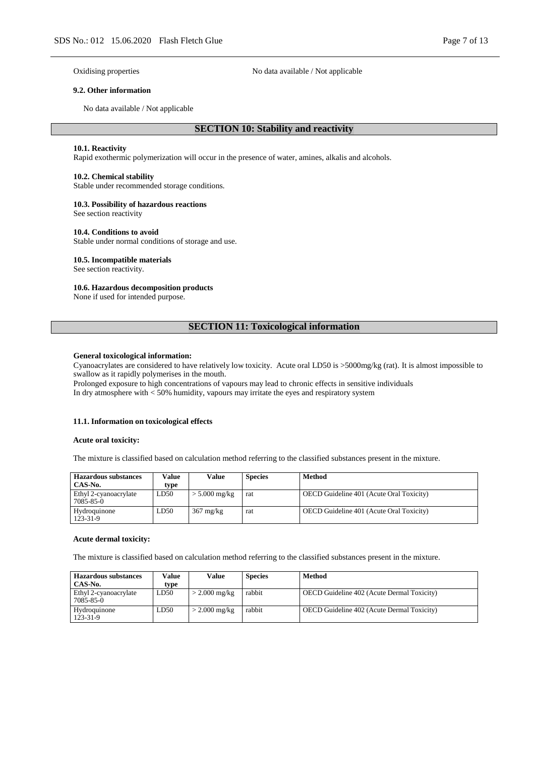Oxidising properties No data available / Not applicable

## **9.2. Other information**

No data available / Not applicable

## **SECTION 10: Stability and reactivity**

#### **10.1. Reactivity**

Rapid exothermic polymerization will occur in the presence of water, amines, alkalis and alcohols.

### **10.2. Chemical stability**

Stable under recommended storage conditions.

## **10.3. Possibility of hazardous reactions**

See section reactivity

### **10.4. Conditions to avoid**

Stable under normal conditions of storage and use.

### **10.5. Incompatible materials**

See section reactivity.

#### **10.6. Hazardous decomposition products**

None if used for intended purpose.

## **SECTION 11: Toxicological information**

### **General toxicological information:**

Cyanoacrylates are considered to have relatively low toxicity. Acute oral LD50 is >5000mg/kg (rat). It is almost impossible to swallow as it rapidly polymerises in the mouth.

Prolonged exposure to high concentrations of vapours may lead to chronic effects in sensitive individuals In dry atmosphere with < 50% humidity, vapours may irritate the eyes and respiratory system

#### **11.1. Information on toxicological effects**

#### **Acute oral toxicity:**

The mixture is classified based on calculation method referring to the classified substances present in the mixture.

| <b>Hazardous substances</b><br>CAS-No. | Value<br>type | Value               | <b>Species</b> | Method                                          |
|----------------------------------------|---------------|---------------------|----------------|-------------------------------------------------|
| Ethyl 2-cyanoacrylate<br>7085-85-0     | LD50          | $> 5.000$ mg/kg     | rat            | <b>OECD</b> Guideline 401 (Acute Oral Toxicity) |
| Hydroquinone<br>123-31-9               | LD50          | $367 \text{ mg/kg}$ | rat            | <b>OECD</b> Guideline 401 (Acute Oral Toxicity) |

#### **Acute dermal toxicity:**

The mixture is classified based on calculation method referring to the classified substances present in the mixture.

| <b>Hazardous substances</b><br>CAS-No. | Value<br>type | Value           | <b>Species</b> | Method                                            |
|----------------------------------------|---------------|-----------------|----------------|---------------------------------------------------|
| Ethyl 2-cyanoacrylate<br>7085-85-0     | LD50          | $>$ 2.000 mg/kg | rabbit         | <b>OECD</b> Guideline 402 (Acute Dermal Toxicity) |
| Hydroquinone<br>123-31-9               | LD50          | $>$ 2.000 mg/kg | rabbit         | OECD Guideline 402 (Acute Dermal Toxicity)        |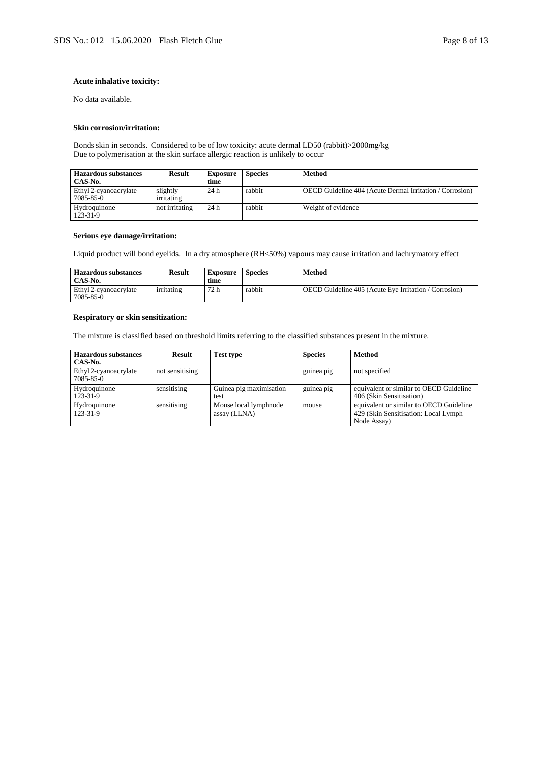## **Acute inhalative toxicity:**

No data available.

## **Skin corrosion/irritation:**

Bonds skin in seconds. Considered to be of low toxicity: acute dermal LD50 (rabbit)>2000mg/kg Due to polymerisation at the skin surface allergic reaction is unlikely to occur

| <b>Hazardous substances</b><br>CAS-No. | <b>Result</b>          | <b>Exposure</b><br>time | <b>Species</b> | Method                                                          |
|----------------------------------------|------------------------|-------------------------|----------------|-----------------------------------------------------------------|
| Ethyl 2-cyanoacrylate<br>7085-85-0     | slightly<br>irritating | 24h                     | rabbit         | <b>OECD Guideline 404 (Acute Dermal Irritation / Corrosion)</b> |
| Hydroquinone<br>123-31-9               | not irritating         | 24h                     | rabbit         | Weight of evidence                                              |

## **Serious eye damage/irritation:**

Liquid product will bond eyelids. In a dry atmosphere (RH<50%) vapours may cause irritation and lachrymatory effect

| <b>Hazardous substances</b><br>CAS-No. | Result     | Exposure<br>time | <b>Species</b> | Method                                                       |
|----------------------------------------|------------|------------------|----------------|--------------------------------------------------------------|
| Ethyl 2-cyanoacrylate<br>7085-85-0     | irritating | 72 h             | rabbit         | <b>OECD</b> Guideline 405 (Acute Eve Irritation / Corrosion) |

#### **Respiratory or skin sensitization:**

The mixture is classified based on threshold limits referring to the classified substances present in the mixture.

| <b>Hazardous substances</b><br>CAS-No. | <b>Result</b>   | <b>Test type</b>                      | <b>Species</b> | <b>Method</b>                                                                                   |
|----------------------------------------|-----------------|---------------------------------------|----------------|-------------------------------------------------------------------------------------------------|
| Ethyl 2-cyanoacrylate<br>7085-85-0     | not sensitising |                                       | guinea pig     | not specified                                                                                   |
| Hydroquinone<br>123-31-9               | sensitising     | Guinea pig maximisation<br>test       | guinea pig     | equivalent or similar to OECD Guideline<br>406 (Skin Sensitisation)                             |
| Hydroquinone<br>123-31-9               | sensitising     | Mouse local lymphnode<br>assay (LLNA) | mouse          | equivalent or similar to OECD Guideline<br>429 (Skin Sensitisation: Local Lymph)<br>Node Assay) |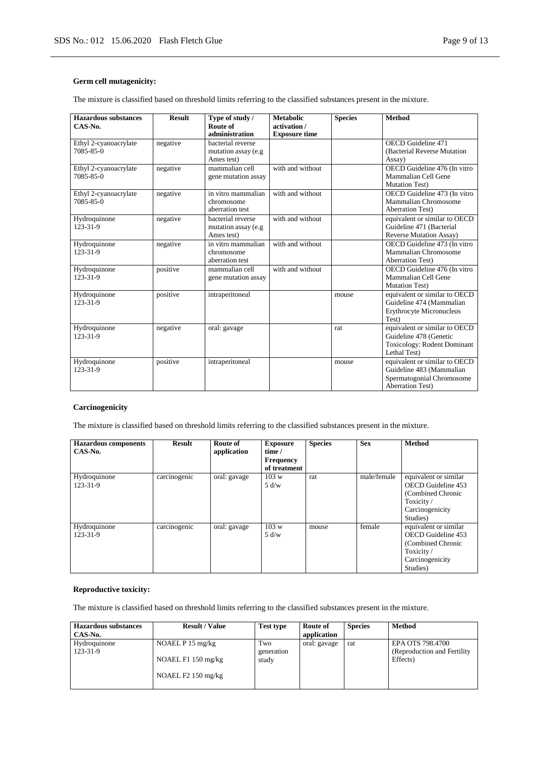## **Germ cell mutagenicity:**

The mixture is classified based on threshold limits referring to the classified substances present in the mixture.

| <b>Hazardous substances</b><br>CAS-No.   | <b>Result</b> | Type of study /<br>Route of<br>administration           | <b>Metabolic</b><br>activation /<br><b>Exposure time</b> | <b>Species</b> | <b>Method</b>                                                                                                     |
|------------------------------------------|---------------|---------------------------------------------------------|----------------------------------------------------------|----------------|-------------------------------------------------------------------------------------------------------------------|
| Ethyl 2-cyanoacrylate<br>7085-85-0       | negative      | bacterial reverse<br>mutation assay (e.g.<br>Ames test) |                                                          |                | <b>OECD</b> Guideline 471<br>(Bacterial Reverse Mutation)<br>Assay)                                               |
| Ethyl 2-cyanoacrylate<br>$7085 - 85 - 0$ | negative      | mammalian cell<br>gene mutation assay                   | with and without                                         |                | OECD Guideline 476 (In vitro<br>Mammalian Cell Gene<br>Mutation Test)                                             |
| Ethyl 2-cyanoacrylate<br>7085-85-0       | negative      | in vitro mammalian<br>chromosome<br>aberration test     | with and without                                         |                | OECD Guideline 473 (In vitro<br>Mammalian Chromosome<br><b>Aberration Test)</b>                                   |
| Hydroquinone<br>123-31-9                 | negative      | bacterial reverse<br>mutation assay (e.g.<br>Ames test) | with and without                                         |                | equivalent or similar to OECD<br>Guideline 471 (Bacterial<br><b>Reverse Mutation Assay)</b>                       |
| Hydroquinone<br>123-31-9                 | negative      | in vitro mammalian<br>chromosome<br>aberration test     | with and without                                         |                | OECD Guideline 473 (In vitro<br>Mammalian Chromosome<br><b>Aberration Test)</b>                                   |
| Hydroquinone<br>123-31-9                 | positive      | mammalian cell<br>gene mutation assay                   | with and without                                         |                | OECD Guideline 476 (In vitro<br>Mammalian Cell Gene<br><b>Mutation Test)</b>                                      |
| Hydroquinone<br>123-31-9                 | positive      | intraperitoneal                                         |                                                          | mouse          | equivalent or similar to OECD<br>Guideline 474 (Mammalian<br>Erythrocyte Micronucleus<br>Test)                    |
| Hydroquinone<br>123-31-9                 | negative      | oral: gavage                                            |                                                          | rat            | equivalent or similar to OECD<br>Guideline 478 (Genetic<br><b>Toxicology: Rodent Dominant</b><br>Lethal Test)     |
| Hydroquinone<br>123-31-9                 | positive      | intraperitoneal                                         |                                                          | mouse          | equivalent or similar to OECD<br>Guideline 483 (Mammalian<br>Spermatogonial Chromosome<br><b>Aberration Test)</b> |

## **Carcinogenicity**

The mixture is classified based on threshold limits referring to the classified substances present in the mixture.

| <b>Hazardous</b> components<br>$CAS-N0$ . | <b>Result</b> | Route of<br>application | <b>Exposure</b><br>time /<br><b>Frequency</b><br>of treatment | <b>Species</b> | <b>Sex</b>  | <b>Method</b>                                                                                                |
|-------------------------------------------|---------------|-------------------------|---------------------------------------------------------------|----------------|-------------|--------------------------------------------------------------------------------------------------------------|
| Hydroquinone<br>123-31-9                  | carcinogenic  | oral: gavage            | 103 w<br>5 d/w                                                | rat            | male/female | equivalent or similar<br>OECD Guideline 453<br>(Combined Chronic<br>Toxicity/<br>Carcinogenicity<br>Studies) |
| Hydroquinone<br>123-31-9                  | carcinogenic  | oral: gavage            | 103 w<br>5 d/w                                                | mouse          | female      | equivalent or similar<br>OECD Guideline 453<br>(Combined Chronic<br>Toxicity/<br>Carcinogenicity<br>Studies) |

## **Reproductive toxicity:**

The mixture is classified based on threshold limits referring to the classified substances present in the mixture.

| <b>Hazardous substances</b> | <b>Result / Value</b> | <b>Test type</b>    | Route of     | <b>Species</b> | Method                                   |
|-----------------------------|-----------------------|---------------------|--------------|----------------|------------------------------------------|
| CAS-No.                     |                       |                     | application  |                |                                          |
| Hydroquinone                | NOAEL $P$ 15 mg/kg    | Two                 | oral: gavage | rat            | EPA OTS 798.4700                         |
| 123-31-9                    | NOAEL $F1150$ mg/kg   | generation<br>study |              |                | (Reproduction and Fertility)<br>Effects) |
|                             | NOAEL $F2$ 150 mg/kg  |                     |              |                |                                          |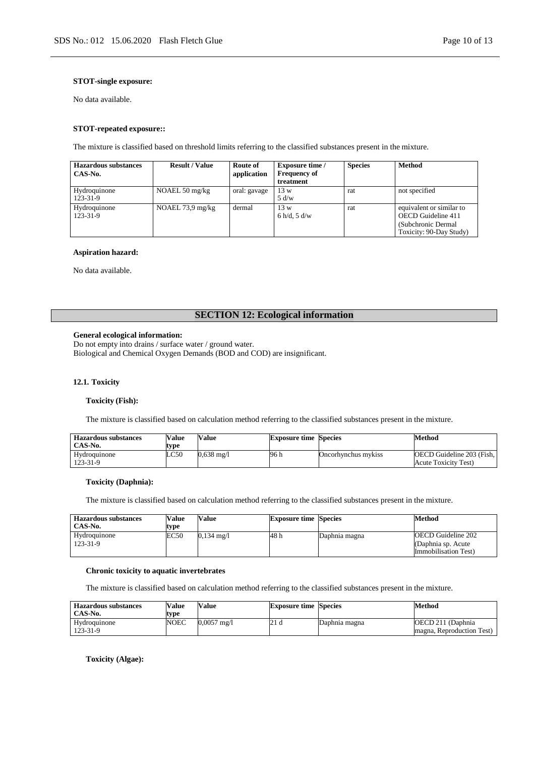## **STOT-single exposure:**

No data available.

### **STOT-repeated exposure::**

The mixture is classified based on threshold limits referring to the classified substances present in the mixture.

| <b>Hazardous substances</b><br>CAS-No. | <b>Result / Value</b>      | Route of<br>application | <b>Exposure time</b> /<br><b>Frequency of</b> | <b>Species</b> | <b>Method</b>                                                                                           |
|----------------------------------------|----------------------------|-------------------------|-----------------------------------------------|----------------|---------------------------------------------------------------------------------------------------------|
|                                        |                            |                         | treatment                                     |                |                                                                                                         |
| Hydroquinone<br>123-31-9               | NOAEL 50 $mg/kg$           | oral: gavage            | 13 w<br>5 d/w                                 | rat            | not specified                                                                                           |
| Hydroquinone<br>123-31-9               | NOAEL $73.9 \text{ mg/kg}$ | dermal                  | 13 w<br>6 h/d, 5 d/w                          | rat            | equivalent or similar to<br><b>OECD</b> Guideline 411<br>(Subchronic Dermal)<br>Toxicity: 90-Day Study) |

## **Aspiration hazard:**

No data available.

# **SECTION 12: Ecological information**

### **General ecological information:**

Do not empty into drains / surface water / ground water. Biological and Chemical Oxygen Demands (BOD and COD) are insignificant.

## **12.1. Toxicity**

#### **Toxicity (Fish):**

The mixture is classified based on calculation method referring to the classified substances present in the mixture.

| <b>Hazardous substances</b><br>CAS-No. | <b>Value</b><br>type | <b>Value</b>          | <b>Exposure time Species</b> |                     | Method                                                   |
|----------------------------------------|----------------------|-----------------------|------------------------------|---------------------|----------------------------------------------------------|
| Hydroquinone<br>123-31-9               | LC50                 | $0.638 \text{ m}$ g/l | 96 h                         | Oncorhynchus mykiss | <b>OECD</b> Guideline 203 (Fish,<br>Acute Toxicity Test) |

## **Toxicity (Daphnia):**

The mixture is classified based on calculation method referring to the classified substances present in the mixture.

| <b>Hazardous substances</b><br>CAS-No. | <b>Value</b><br>type | Value                 | <b>Exposure time Species</b> |               | Method                                                                    |
|----------------------------------------|----------------------|-----------------------|------------------------------|---------------|---------------------------------------------------------------------------|
| Hydroquinone<br>123-31-9               | EC50                 | $0.134 \text{ m}$ g/l | 48 h                         | Daphnia magna | OECD Guideline 202<br>(Daphnia sp. Acute)<br><b>Immobilisation Test</b> ) |

## **Chronic toxicity to aquatic invertebrates**

The mixture is classified based on calculation method referring to the classified substances present in the mixture.

| <b>Hazardous substances</b><br>CAS-No. | <b>Value</b><br>type | Value         | <b>Exposure time Species</b> |               | Method                                          |
|----------------------------------------|----------------------|---------------|------------------------------|---------------|-------------------------------------------------|
| Hydroquinone<br>$123 - 31 - 9$         | <b>NOEC</b>          | $0.0057$ mg/l | 21 d                         | Daphnia magna | OECD 211 (Daphnia)<br>magna, Reproduction Test) |

**Toxicity (Algae):**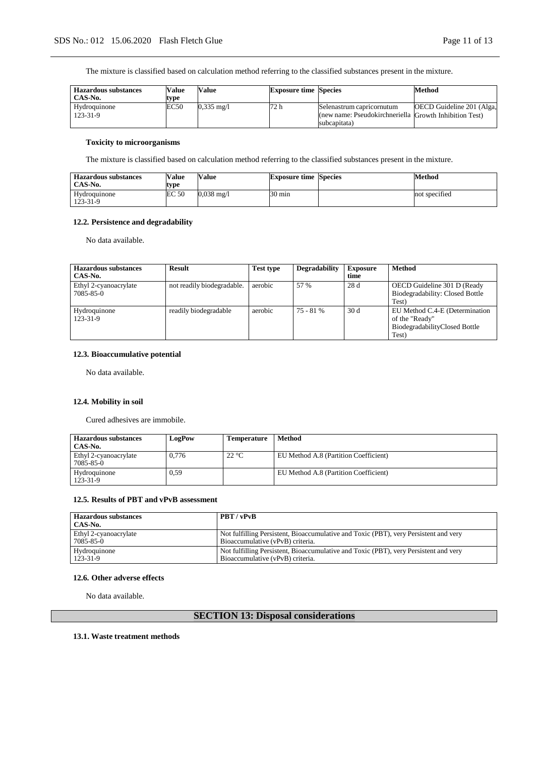The mixture is classified based on calculation method referring to the classified substances present in the mixture.

| <b>Hazardous substances</b><br>CAS-No. | <b>Value</b><br>type | Value                 | <b>Exposure time Species</b> |                                                        | Method                    |
|----------------------------------------|----------------------|-----------------------|------------------------------|--------------------------------------------------------|---------------------------|
| Hydroquinone                           | EC50                 | $0.335 \text{ m}$ g/l | 72 h                         | Selenastrum capricornutum                              | OECD Guideline 201 (Alga, |
| $123 - 31 - 9$                         |                      |                       |                              | (new name: Pseudokirchneriella Growth Inhibition Test) |                           |
|                                        |                      |                       |                              | subcapitata)                                           |                           |

## **Toxicity to microorganisms**

The mixture is classified based on calculation method referring to the classified substances present in the mixture.

| <b>Hazardous substances</b><br>CAS-No. | <b>Value</b><br>type | Value                | <b>Exposure time Species</b> | Method        |
|----------------------------------------|----------------------|----------------------|------------------------------|---------------|
| Hydroquinone<br>123-31-9               | EC <sub>50</sub>     | $0.038 \text{ mg}/1$ | $30 \text{ min}$             | not specified |

## **12.2. Persistence and degradability**

No data available.

| <b>Hazardous substances</b><br>CAS-No. | Result                     | <b>Test type</b> | <b>Degradability</b> | <b>Exposure</b><br>time | <b>Method</b>                                                                              |
|----------------------------------------|----------------------------|------------------|----------------------|-------------------------|--------------------------------------------------------------------------------------------|
| Ethyl 2-cyanoacrylate<br>7085-85-0     | not readily biodegradable. | aerobic          | 57 %                 | 28 d                    | OECD Guideline 301 D (Ready)<br>Biodegradability: Closed Bottle<br>Test)                   |
| Hydroquinone<br>123-31-9               | readily biodegradable      | aerobic          | $75 - 81%$           | 30d                     | EU Method C.4-E (Determination<br>of the "Ready"<br>BiodegradabilityClosed Bottle<br>Test) |

## **12.3. Bioaccumulative potential**

No data available.

## **12.4. Mobility in soil**

Cured adhesives are immobile.

| <b>Hazardous substances</b><br>CAS-No. | LogPow | Temperature | Method                                |
|----------------------------------------|--------|-------------|---------------------------------------|
| Ethyl 2-cyanoacrylate<br>7085-85-0     | 0.776  | 22 °C       | EU Method A.8 (Partition Coefficient) |
| Hydroquinone<br>123-31-9               | 0.59   |             | EU Method A.8 (Partition Coefficient) |

### **12.5. Results of PBT and vPvB assessment**

| <b>Hazardous substances</b><br>CAS-No. | PBT/vPvB                                                                             |
|----------------------------------------|--------------------------------------------------------------------------------------|
| Ethyl 2-cyanoacrylate                  | Not fulfilling Persistent, Bioaccumulative and Toxic (PBT), very Persistent and very |
| 7085-85-0                              | Bioaccumulative (vPvB) criteria.                                                     |
| Hydroquinone                           | Not fulfilling Persistent, Bioaccumulative and Toxic (PBT), very Persistent and very |
| $123 - 31 - 9$                         | Bioaccumulative (vPvB) criteria.                                                     |

## **12.6. Other adverse effects**

No data available.

# **SECTION 13: Disposal considerations**

## **13.1. Waste treatment methods**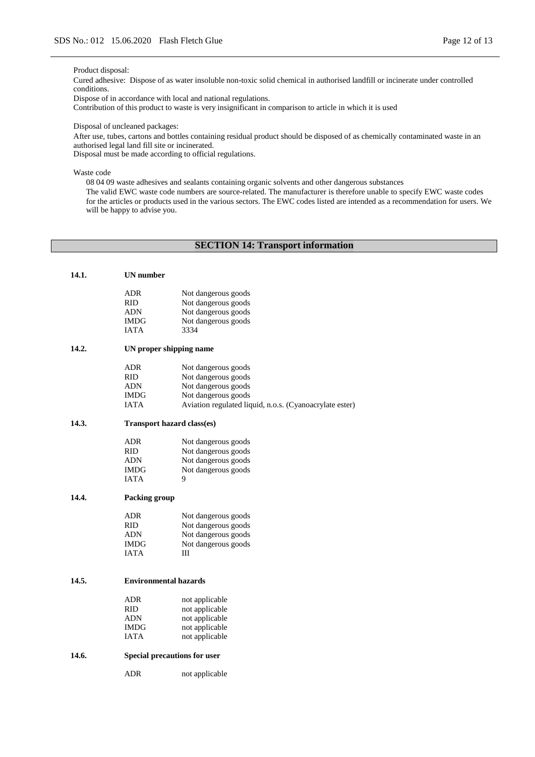Product disposal:

Cured adhesive: Dispose of as water insoluble non-toxic solid chemical in authorised landfill or incinerate under controlled conditions.

Dispose of in accordance with local and national regulations.

Contribution of this product to waste is very insignificant in comparison to article in which it is used

Disposal of uncleaned packages:

After use, tubes, cartons and bottles containing residual product should be disposed of as chemically contaminated waste in an authorised legal land fill site or incinerated.

Disposal must be made according to official regulations.

Waste code

08 04 09 waste adhesives and sealants containing organic solvents and other dangerous substances The valid EWC waste code numbers are source-related. The manufacturer is therefore unable to specify EWC waste codes for the articles or products used in the various sectors. The EWC codes listed are intended as a recommendation for users. We will be happy to advise you.

## **SECTION 14: Transport information**

| 14.1. | <b>UN</b> number             |                                                         |
|-------|------------------------------|---------------------------------------------------------|
|       | <b>ADR</b>                   | Not dangerous goods                                     |
|       | RID.                         | Not dangerous goods                                     |
|       | <b>ADN</b>                   | Not dangerous goods                                     |
|       | <b>IMDG</b>                  | Not dangerous goods                                     |
|       | <b>IATA</b>                  | 3334                                                    |
| 14.2. | UN proper shipping name      |                                                         |
|       | <b>ADR</b>                   | Not dangerous goods                                     |
|       | <b>RID</b>                   | Not dangerous goods                                     |
|       | <b>ADN</b>                   | Not dangerous goods                                     |
|       | <b>IMDG</b>                  | Not dangerous goods                                     |
|       | <b>IATA</b>                  | Aviation regulated liquid, n.o.s. (Cyanoacrylate ester) |
| 14.3. | Transport hazard class(es)   |                                                         |
|       | <b>ADR</b>                   | Not dangerous goods                                     |
|       | <b>RID</b>                   | Not dangerous goods                                     |
|       | <b>ADN</b>                   | Not dangerous goods                                     |
|       | <b>IMDG</b>                  | Not dangerous goods                                     |
|       | <b>IATA</b>                  | 9                                                       |
| 14.4. | Packing group                |                                                         |
|       | <b>ADR</b>                   | Not dangerous goods                                     |
|       | <b>RID</b>                   | Not dangerous goods                                     |
|       | <b>ADN</b>                   | Not dangerous goods                                     |
|       | <b>IMDG</b>                  | Not dangerous goods                                     |
|       | <b>IATA</b>                  | Ш                                                       |
| 14.5. | <b>Environmental hazards</b> |                                                         |
|       |                              |                                                         |
|       | <b>ADR</b>                   | not applicable                                          |
|       | RID.                         | not applicable                                          |
|       | <b>ADN</b>                   | not applicable                                          |
|       | <b>IMDG</b>                  | not applicable                                          |
|       | <b>IATA</b>                  | not applicable                                          |
| 14.6. | Special precautions for user |                                                         |
|       | ADR                          | not applicable                                          |
|       |                              |                                                         |